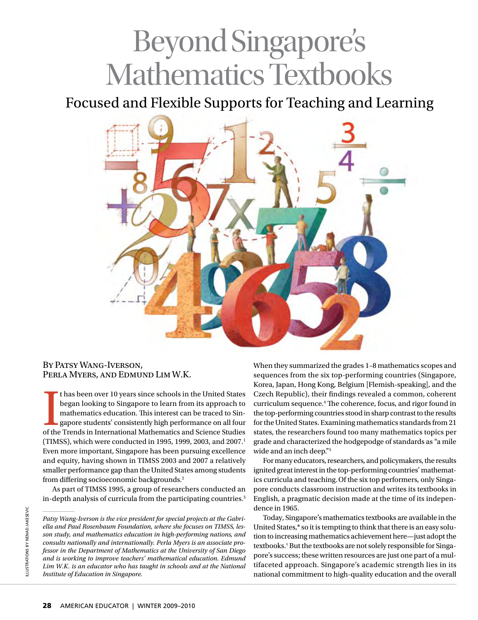# Beyond Singapore's Mathematics Textbooks

Focused and Flexible Supports for Teaching and Learning



# By Patsy Wang-Iverson, Perla Myers, and Edmund Lim W.K.

I thas been over 10 years since schools in the United States<br>began looking to Singapore to learn from its approach to<br>mathematics education. This interest can be traced to Sin-<br>gapore students' consistently high performanc t has been over 10 years since schools in the United States began looking to Singapore to learn from its approach to mathematics education. This interest can be traced to Singapore students' consistently high performance on all four (TIMSS), which were conducted in 1995, 1999, 2003, and 2007.<sup>1</sup> Even more important, Singapore has been pursuing excellence and equity, having shown in TIMSS 2003 and 2007 a relatively smaller performance gap than the United States among students from differing socioeconomic backgrounds.2

As part of TIMSS 1995, a group of researchers conducted an in-depth analysis of curricula from the participating countries.3

When they summarized the grades 1–8 mathematics scopes and sequences from the six top-performing countries (Singapore, Korea, Japan, Hong Kong, Belgium [Flemish-speaking], and the Czech Republic), their findings revealed a common, coherent curriculum sequence.4 The coherence, focus, and rigor found in the top-performing countries stood in sharp contrast to the results for the United States. Examining mathematics standards from 21 states, the researchers found too many mathematics topics per grade and characterized the hodgepodge of standards as "a mile wide and an inch deep."5

For many educators, researchers, and policymakers, the results ignited great interest in the top-performing countries' mathematics curricula and teaching.Of the six top performers, only Singapore conducts classroom instruction and writes its textbooks in English, a pragmatic decision made at the time of its independence in 1965.

Today, Singapore's mathematics textbooks are available in the United States,\* so it is tempting to think that there is an easy solution to increasing mathematics achievement here—just adopt the textbooks.† But the textbooks are not solely responsible for Singapore's success; these written resources are just one part of a multifaceted approach. Singapore's academic strength lies in its national commitment to high-quality education and the overall

*Patsy Wang-Iverson is the vice president for special projects at the Gabriella and Paul Rosenbaum Foundation, where she focuses on TIMSS, lesson study, and mathematics education in high-performing nations, and consults nationally and internationally. Perla Myers is an associate professor in the Department of Mathematics at the University of San Diego and is working to improve teachers' mathematical education. Edmund Lim W.K. is an educator who has taught in schools and at the National Institute of Education in Singapore.*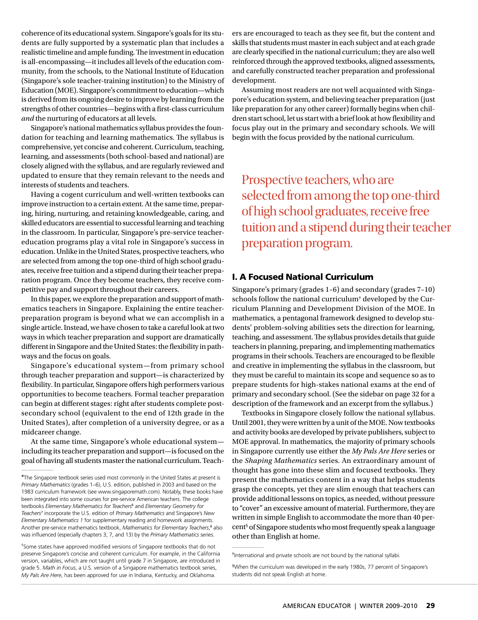coherence of its educational system. Singapore's goals for its students are fully supported by a systematic plan that includes a realistic timeline and ample funding. The investment in education is all-encompassing—it includes all levels of the education community, from the schools, to the National Institute of Education (Singapore's sole teacher-training institution) to the Ministry of Education (MOE). Singapore's commitment to education—which is derived from its ongoing desire to improve by learning from the strengths of other countries—begins with a first-class curriculum *and* the nurturing of educators at all levels.

Singapore's national mathematics syllabus provides the foundation for teaching and learning mathematics. The syllabus is comprehensive, yet concise and coherent. Curriculum, teaching, learning, and assessments (both school-based and national) are closely aligned with the syllabus, and are regularly reviewed and updated to ensure that they remain relevant to the needs and interests of students and teachers.

Having a cogent curriculum and well-written textbooks can improve instruction to a certain extent. At the same time, preparing, hiring, nurturing, and retaining knowledgeable, caring, and skilled educators are essential to successful learning and teaching in the classroom. In particular, Singapore's pre-service teachereducation programs play a vital role in Singapore's success in education. Unlike in the United States, prospective teachers, who are selected from among the top one-third of high school graduates, receive free tuition and a stipend during their teacher preparation program. Once they become teachers, they receive competitive pay and support throughout their careers.

In this paper, we explore the preparation and support of mathematics teachers in Singapore. Explaining the entire teacherpreparation program is beyond what we can accomplish in a single article. Instead, we have chosen to take a careful look at two ways in which teacher preparation and support are dramatically different in Singapore and the United States: the flexibility in pathways and the focus on goals.

Singapore's educational system—from primary school through teacher preparation and support—is characterized by flexibility. In particular, Singapore offers high performers various opportunities to become teachers. Formal teacher preparation can begin at different stages: right after students complete postsecondary school (equivalent to the end of 12th grade in the United States), after completion of a university degree, or as a midcareer change.

At the same time, Singapore's whole educational system including its teacher preparation and support—is focused on the goal of having all students master the national curriculum. Teachers are encouraged to teach as they see fit, but the content and skills that students must master in each subject and at each grade are clearly specified in the national curriculum; they are also well reinforced through the approved textbooks, aligned assessments, and carefully constructed teacher preparation and professional development.

Assuming most readers are not well acquainted with Singapore's education system, and believing teacher preparation (just like preparation for any other career) formally begins when children start school, let us start with a brief look at how flexibility and focus play out in the primary and secondary schools. We will begin with the focus provided by the national curriculum.

Prospective teachers, who are selected from among the top one-third of high school graduates, receive free tuition and a stipend during their teacher preparation program.

# I. A Focused National Curriculum

Singapore's primary (grades 1–6) and secondary (grades 7–10) schools follow the national curriculum‡ developed by the Curriculum Planning and Development Division of the MOE. In mathematics, a pentagonal framework designed to develop students' problem-solving abilities sets the direction for learning, teaching, and assessment. The syllabus provides details that guide teachers in planning, preparing, and implementing mathematics programs in their schools. Teachers are encouraged to be flexible and creative in implementing the syllabus in the classroom, but they must be careful to maintain its scope and sequence so as to prepare students for high-stakes national exams at the end of primary and secondary school. (See the sidebar on page 32 for a description of the framework and an excerpt from the syllabus.)

Textbooks in Singapore closely follow the national syllabus. Until 2001, they were written by a unit of the MOE. Now textbooks and activity books are developed by private publishers, subject to MOE approval. In mathematics, the majority of primary schools in Singapore currently use either the *My Pals Are Here* series or the *Shaping Mathematics* series. An extraordinary amount of thought has gone into these slim and focused textbooks. They present the mathematics content in a way that helps students grasp the concepts, yet they are slim enough that teachers can provide additional lessons on topics, as needed, without pressure to "cover" an excessive amount of material. Furthermore, they are written in simple English to accommodate the more than 40 percent§ of Singapore students who most frequently speak a language other than English at home.

<sup>\*</sup>The Singapore textbook series used most commonly in the United States at present is *Primary Mathematics* (grades 1–6), U.S. edition, published in 2003 and based on the 1983 curriculum framework (see www.singaporemath.com). Notably, these books have been integrated into some courses for pre-service American teachers. The college textbooks *Elementary Mathematics for Teachers*<sup>6</sup> and *Elementary Geometry for Teachers*<sup>7</sup> incorporate the U.S. edition of *Primary Mathematics* and Singapore's *New Elementary Mathematics 1* for supplementary reading and homework assignments. Another pre-service mathematics textbook, *Mathematics for Elementary Teachers*, 8 also was influenced (especially chapters 3, 7, and 13) by the *Primary Mathematics* series.

<sup>†</sup> Some states have approved modified versions of Singapore textbooks that do not preserve Singapore's concise and coherent curriculum. For example, in the California version, variables, which are not taught until grade 7 in Singapore, are introduced in grade 5. *Math in Focus*, a U.S. version of a Singapore mathematics textbook series, *My Pals Are Here*, has been approved for use in Indiana, Kentucky, and Oklahoma.

<sup>‡</sup> International and private schools are not bound by the national syllabi.

<sup>§</sup> When the curriculum was developed in the early 1980s, 77 percent of Singapore's students did not speak English at home.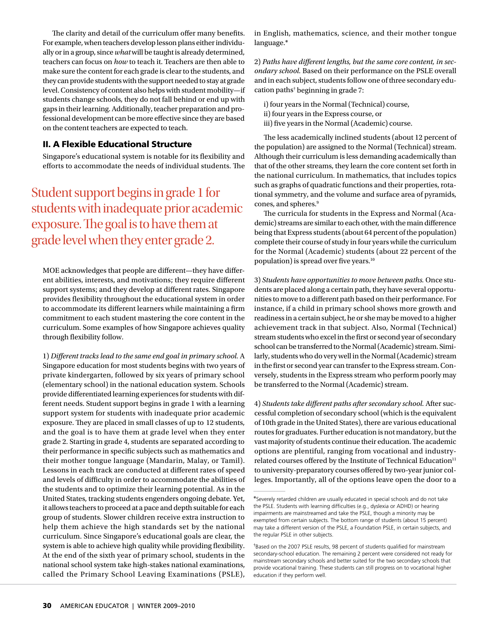The clarity and detail of the curriculum offer many benefits. For example, when teachers develop lesson plans either individually or in a group, since *what* will be taught is already determined, teachers can focus on *how* to teach it. Teachers are then able to make sure the content for each grade is clear to the students, and they can provide students with the support needed to stay at grade level. Consistency of content also helps with student mobility—if students change schools, they do not fall behind or end up with gaps in their learning. Additionally, teacher preparation and professional development can be more effective since they are based on the content teachers are expected to teach.

## II. A Flexible Educational Structure

Singapore's educational system is notable for its flexibility and efforts to accommodate the needs of individual students. The

Student support begins in grade 1 for students with inadequate prior academic exposure. The goal is to have them at grade level when they enter grade 2.

MOE acknowledges that people are different—they have different abilities, interests, and motivations; they require different support systems; and they develop at different rates. Singapore provides flexibility throughout the educational system in order to accommodate its different learners while maintaining a firm commitment to each student mastering the core content in the curriculum. Some examples of how Singapore achieves quality through flexibility follow.

1) *Different tracks lead to the same end goal in primary school.* A Singapore education for most students begins with two years of private kindergarten, followed by six years of primary school (elementary school) in the national education system. Schools provide differentiated learning experiences for students with different needs. Student support begins in grade 1 with a learning support system for students with inadequate prior academic exposure. They are placed in small classes of up to 12 students, and the goal is to have them at grade level when they enter grade 2. Starting in grade 4, students are separated according to their performance in specific subjects such as mathematics and their mother tongue language (Mandarin, Malay, or Tamil). Lessons in each track are conducted at different rates of speed and levels of difficulty in order to accommodate the abilities of the students and to optimize their learning potential. As in the United States, tracking students engenders ongoing debate. Yet, it allows teachers to proceed at a pace and depth suitable for each group of students. Slower children receive extra instruction to help them achieve the high standards set by the national curriculum. Since Singapore's educational goals are clear, the system is able to achieve high quality while providing flexibility. At the end of the sixth year of primary school, students in the national school system take high-stakes national examinations, called the Primary School Leaving Examinations (PSLE),

in English, mathematics, science, and their mother tongue language.\*

2) *Paths have different lengths, but the same core content, in secondary school.* Based on their performance on the PSLE overall and in each subject, students follow one of three secondary education paths† beginning in grade 7:

- i) four years in the Normal (Technical) course,
- ii) four years in the Express course, or
- iii) five years in the Normal (Academic) course.

The less academically inclined students (about 12 percent of the population) are assigned to the Normal (Technical) stream. Although their curriculum is less demanding academically than that of the other streams, they learn the core content set forth in the national curriculum. In mathematics, that includes topics such as graphs of quadratic functions and their properties, rotational symmetry, and the volume and surface area of pyramids, cones, and spheres.<sup>9</sup>

The curricula for students in the Express and Normal (Academic) streams are similar to each other, with the main difference being that Express students (about 64 percent of the population) complete their course of study in four years while the curriculum for the Normal (Academic) students (about 22 percent of the population) is spread over five years.10

3) *Students have opportunities to move between paths.* Once students are placed along a certain path, they have several opportunities to move to a different path based on their performance. For instance, if a child in primary school shows more growth and readiness in a certain subject, he or she may be moved to a higher achievement track in that subject. Also, Normal (Technical) stream students who excel in the first or second year of secondary school can be transferred to the Normal (Academic) stream. Similarly, students who do very well in the Normal (Academic) stream in the first or second year can transfer to the Express stream. Conversely, students in the Express stream who perform poorly may be transferred to the Normal (Academic) stream.

4) *Students take different paths after secondary school.* After successful completion of secondary school (which is the equivalent of 10th grade in the United States), there are various educational routes for graduates. Further education is not mandatory, but the vast majority of students continue their education. The academic options are plentiful, ranging from vocational and industryrelated courses offered by the Institute of Technical Education<sup>11</sup> to university-preparatory courses offered by two-year junior colleges. Importantly, all of the options leave open the door to a

<sup>\*</sup>Severely retarded children are usually educated in special schools and do not take the PSLE. Students with learning difficulties (e.g., dyslexia or ADHD) or hearing impairments are mainstreamed and take the PSLE, though a minority may be exempted from certain subjects. The bottom range of students (about 15 percent) may take a different version of the PSLE, a Foundation PSLE, in certain subjects, and the regular PSLE in other subjects.

<sup>†</sup> Based on the 2007 PSLE results, 98 percent of students qualified for mainstream secondary-school education. The remaining 2 percent were considered not ready for mainstream secondary schools and better suited for the two secondary schools that provide vocational training. These students can still progress on to vocational higher education if they perform well.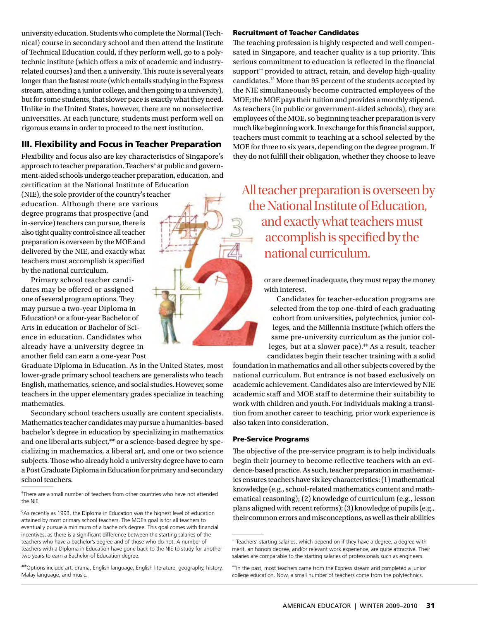university education. Students who complete the Normal (Technical) course in secondary school and then attend the Institute of Technical Education could, if they perform well, go to a polytechnic institute (which offers a mix of academic and industryrelated courses) and then a university. This route is several years longer than the fastest route (which entails studying in the Express stream, attending a junior college, and then going to a university), but for some students, that slower pace is exactly what they need. Unlike in the United States, however, there are no nonselective universities. At each juncture, students must perform well on rigorous exams in order to proceed to the next institution.

# III. Flexibility and Focus in Teacher Preparation

Flexibility and focus also are key characteristics of Singapore's approach to teacher preparation. Teachers<sup>#</sup> at public and government-aided schools undergo teacher preparation, education, and certification at the National Institute of Education (NIE), the sole provider of the country's teacher education. Although there are various degree programs that prospective (and in-service) teachers can pursue, there is also tight quality control since all teacher preparation is overseen by the MOE and delivered by the NIE, and exactly what teachers must accomplish is specified by the national curriculum.

Primary school teacher candidates may be offered or assigned one of several program options. They may pursue a two-year Diploma in Education§ or a four-year Bachelor of Arts in education or Bachelor of Science in education. Candidates who already have a university degree in another field can earn a one-year Post

Graduate Diploma in Education. As in the United States, most lower-grade primary school teachers are generalists who teach English, mathematics, science, and social studies. However, some teachers in the upper elementary grades specialize in teaching mathematics.

Secondary school teachers usually are content specialists. Mathematics teacher candidates may pursue a humanities-based bachelor's degree in education by specializing in mathematics and one liberal arts subject,\*\* or a science-based degree by specializing in mathematics, a liberal art, and one or two science subjects. Those who already hold a university degree have to earn a Post Graduate Diploma in Education for primary and secondary school teachers.

§ As recently as 1993, the Diploma in Education was the highest level of education attained by most primary school teachers. The MOE's goal is for all teachers to eventually pursue a minimum of a bachelor's degree. This goal comes with financial incentives, as there is a significant difference between the starting salaries of the teachers who have a bachelor's degree and of those who do not. A number of teachers with a Diploma in Education have gone back to the NIE to study for another two years to earn a Bachelor of Education degree.

\*\*Options include art, drama, English language, English literature, geography, history, Malay language, and music.

#### Recruitment of Teacher Candidates

The teaching profession is highly respected and well compensated in Singapore, and teacher quality is a top priority. This serious commitment to education is reflected in the financial support<sup>††</sup> provided to attract, retain, and develop high-quality candidates.12 More than 95 percent of the students accepted by the NIE simultaneously become contracted employees of the MOE; the MOE pays their tuition and provides a monthly stipend. As teachers (in public or government-aided schools), they are employees of the MOE, so beginning teacher preparation is very much like beginning work. In exchange for this financial support, teachers must commit to teaching at a school selected by the MOE for three to six years, depending on the degree program. If they do not fulfill their obligation, whether they choose to leave

All teacher preparation is overseen by the National Institute of Education, and exactly what teachers must accomplish is specified by the national curriculum.

> or are deemed inadequate, they must repay the money with interest.

Candidates for teacher-education programs are selected from the top one-third of each graduating cohort from universities, polytechnics, junior colleges, and the Millennia Institute (which offers the same pre-university curriculum as the junior colleges, but at a slower pace).<sup>#</sup> As a result, teacher candidates begin their teacher training with a solid

foundation in mathematics and all other subjects covered by the national curriculum. But entrance is not based exclusively on academic achievement. Candidates also are interviewed by NIE academic staff and MOE staff to determine their suitability to work with children and youth.For individuals making a transition from another career to teaching, prior work experience is also taken into consideration.

#### Pre-Service Programs

The objective of the pre-service program is to help individuals begin their journey to become reflective teachers with an evidence-based practice. As such, teacher preparation in mathematics ensures teachers have six key characteristics: (1) mathematical knowledge (e.g., school-related mathematics content and mathematical reasoning); (2) knowledge of curriculum (e.g., lesson plans aligned with recent reforms); (3) knowledge of pupils (e.g., their common errors and misconceptions, as well as their abilities

<sup>‡</sup> There are a small number of teachers from other countries who have not attended the NIE.

<sup>††</sup>Teachers' starting salaries, which depend on if they have a degree, a degree with merit, an honors degree, and/or relevant work experience, are quite attractive. Their salaries are comparable to the starting salaries of professionals such as engineers.

<sup>‡‡</sup>In the past, most teachers came from the Express stream and completed a junior college education. Now, a small number of teachers come from the polytechnics.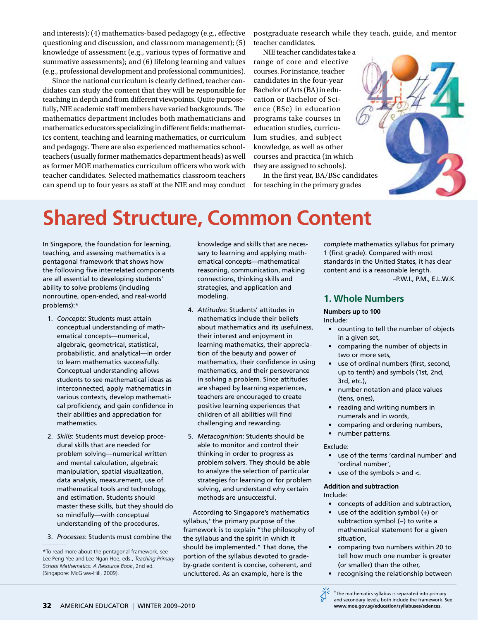and interests); (4) mathematics-based pedagogy (e.g., effective questioning and discussion, and classroom management); (5) knowledge of assessment (e.g., various types of formative and summative assessments); and (6) lifelong learning and values (e.g., professional development and professional communities).

Since the national curriculum is clearly defined, teacher candidates can study the content that they will be responsible for teaching in depth and from different viewpoints. Quite purposefully, NIE academic staff members have varied backgrounds. The mathematics department includes both mathematicians and mathematics educators specializing in different fields: mathematics content, teaching and learning mathematics, or curriculum and pedagogy. There are also experienced mathematics schoolteachers (usually former mathematics department heads) as well as former MOE mathematics curriculum officers who work with teacher candidates. Selected mathematics classroom teachers can spend up to four years as staff at the NIE and may conduct

postgraduate research while they teach, guide, and mentor teacher candidates.

NIE teacher candidates take a range of core and elective courses. For instance, teacher candidates in the four-year Bachelor of Arts (BA) in education or Bachelor of Science (BSc) in education programs take courses in education studies, curriculum studies, and subject knowledge, as well as other courses and practica (in which they are assigned to schools).

In the first year, BA/BSc candidates for teaching in the primary grades



# **Shared Structure, Common Content**

In Singapore, the foundation for learning, teaching, and assessing mathematics is a pentagonal framework that shows how the following five interrelated components are all essential to developing students' ability to solve problems (including nonroutine, open-ended, and real-world problems):\*

- 1. *Concepts*: Students must attain conceptual understanding of mathematical concepts—numerical, algebraic, geometrical, statistical, probabilistic, and analytical—in order to learn mathematics successfully. Conceptual understanding allows students to see mathematical ideas as interconnected, apply mathematics in various contexts, develop mathematical proficiency, and gain confidence in their abilities and appreciation for mathematics.
- 2. *Skills*: Students must develop procedural skills that are needed for problem solving—numerical written and mental calculation, algebraic manipulation, spatial visualization, data analysis, measurement, use of mathematical tools and technology, and estimation. Students should master these skills, but they should do so mindfully—with conceptual understanding of the procedures.
- 3. *Processes*: Students must combine the

knowledge and skills that are necessary to learning and applying mathematical concepts—mathematical reasoning, communication, making connections, thinking skills and strategies, and application and modeling.

- 4. *Attitudes*: Students' attitudes in mathematics include their beliefs about mathematics and its usefulness, their interest and enjoyment in learning mathematics, their appreciation of the beauty and power of mathematics, their confidence in using mathematics, and their perseverance in solving a problem. Since attitudes are shaped by learning experiences, teachers are encouraged to create positive learning experiences that children of all abilities will find challenging and rewarding.
- 5. *Metacognition*: Students should be able to monitor and control their thinking in order to progress as problem solvers. They should be able to analyze the selection of particular strategies for learning or for problem solving, and understand why certain methods are unsuccessful.

According to Singapore's mathematics syllabus,† the primary purpose of the framework is to explain "the philosophy of the syllabus and the spirit in which it should be implemented." That done, the portion of the syllabus devoted to gradeby-grade content is concise, coherent, and uncluttered. As an example, here is the

*complete* mathematics syllabus for primary 1 (first grade). Compared with most standards in the United States, it has clear content and is a reasonable length. –P.W.I., P.M., E.L.W.K*.*

# **1. Whole Numbers**

#### **Numbers up to 100**

#### Include:

- counting to tell the number of objects in a given set,
- comparing the number of objects in two or more sets,
- use of ordinal numbers (first, second, up to tenth) and symbols (1st, 2nd, 3rd, etc.),
- number notation and place values (tens, ones),
- reading and writing numbers in numerals and in words,
- comparing and ordering numbers,
- number patterns.

#### Exclude:

- use of the terms 'cardinal number' and 'ordinal number',
- use of the symbols  $>$  and  $<$ .

#### **Addition and subtraction**

#### Include:

- concepts of addition and subtraction,
- use of the addition symbol (+) or subtraction symbol (−) to write a mathematical statement for a given situation,
- comparing two numbers within 20 to tell how much one number is greater (or smaller) than the other,
- recognising the relationship between
- † The mathematics syllabus is separated into primary and secondary levels; both include the framework. See **www.moe.gov.sg/education/syllabuses/sciences**.

<sup>\*</sup>To read more about the pentagonal framework, see Lee Peng Yee and Lee Ngan Hoe, eds., *Teaching Primary School Mathematics: A Resource Book*, 2nd ed. (Singapore: McGraw-Hill, 2009).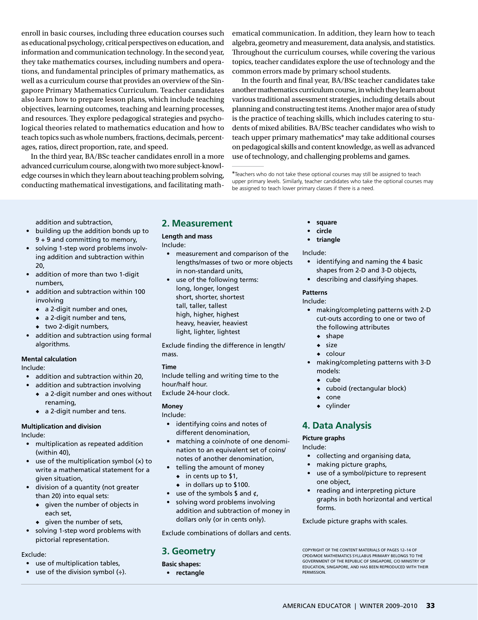enroll in basic courses, including three education courses such as educational psychology, critical perspectives on education, and information and communication technology. In the second year, they take mathematics courses, including numbers and operations, and fundamental principles of primary mathematics, as well as a curriculum course that provides an overview of the Singapore Primary Mathematics Curriculum. Teacher candidates also learn how to prepare lesson plans, which include teaching objectives, learning outcomes, teaching and learning processes, and resources. They explore pedagogical strategies and psychological theories related to mathematics education and how to teach topics such as whole numbers, fractions, decimals, percentages, ratios, direct proportion, rate, and speed.

In the third year, BA/BSc teacher candidates enroll in a more advanced curriculum course, along with two more subject-knowledge courses in which they learn about teaching problem solving, conducting mathematical investigations, and facilitating mathematical communication. In addition, they learn how to teach algebra, geometry and measurement, data analysis, and statistics. Throughout the curriculum courses, while covering the various topics, teacher candidates explore the use of technology and the common errors made by primary school students.

In the fourth and final year, BA/BSc teacher candidates take another mathematics curriculum course, in which they learn about various traditional assessment strategies, including details about planning and constructing test items. Another major area of study is the practice of teaching skills, which includes catering to students of mixed abilities. BA/BSc teacher candidates who wish to teach upper primary mathematics\* may take additional courses on pedagogical skills and content knowledge, as well as advanced use of technology, and challenging problems and games.

\*Teachers who do not take these optional courses may still be assigned to teach upper primary levels. Similarly, teacher candidates who take the optional courses may be assigned to teach lower primary classes if there is a need.

addition and subtraction,

- building up the addition bonds up to 9 + 9 and committing to memory,
- solving 1-step word problems involving addition and subtraction within 20,
- addition of more than two 1-digit numbers,
- addition and subtraction within 100 involving
	- ◆ a 2-digit number and ones,
	- ◆ a 2-digit number and tens,
	- ◆ two 2-digit numbers,
- addition and subtraction using formal algorithms.

#### **Mental calculation**

Include:

- addition and subtraction within 20,
	- addition and subtraction involving
	- ◆ a 2-digit number and ones without renaming,
	- ◆ a 2-digit number and tens.

#### **Multiplication and division**

Include:

- multiplication as repeated addition (within 40),
- use of the multiplication symbol (x) to write a mathematical statement for a given situation,
- division of a quantity (not greater than 20) into equal sets:
	- ◆ given the number of objects in each set,
	- ◆ given the number of sets,
- solving 1-step word problems with pictorial representation.

# Exclude:

- use of multiplication tables,
- use of the division symbol  $(\div)$ .

# **2. Measurement**

#### **Length and mass**

Include:

- measurement and comparison of the lengths/masses of two or more objects in non-standard units,
- use of the following terms: long, longer, longest short, shorter, shortest tall, taller, tallest high, higher, highest heavy, heavier, heaviest light, lighter, lightest

Exclude finding the difference in length/ mass.

#### **Time**

Include telling and writing time to the hour/half hour. Exclude 24-hour clock.

#### **Money**

Include:

- identifying coins and notes of different denomination,
- matching a coin/note of one denomination to an equivalent set of coins/ notes of another denomination,
- telling the amount of money
	- ◆ in cents up to \$1,
	- ◆ in dollars up to \$100.
- use of the symbols  $\frac{1}{2}$  and  $\frac{1}{2}$ ,
- solving word problems involving addition and subtraction of money in dollars only (or in cents only).

Exclude combinations of dollars and cents.

# **3. Geometry**

**Basic shapes:**

• **rectangle**

- **square**
- **circle**
- **triangle**

Include:

- identifying and naming the 4 basic shapes from 2-D and 3-D objects,
- describing and classifying shapes.

#### **Patterns**

Include:

- making/completing patterns with 2-D cut-outs according to one or two of the following attributes
	- ◆ shape
	- ◆ size
	- ◆ colour
- making/completing patterns with 3-D models:
	- ◆ cube
	- cuboid (rectangular block)
	- cone
	- ◆ cylinder

# **4. Data Analysis**

**Picture graphs**

#### Include:

- collecting and organising data,
- making picture graphs,
- use of a symbol/picture to represent one object,
- reading and interpreting picture graphs in both horizontal and vertical forms.

Exclude picture graphs with scales.

Copyright of the content materials of pages 12–14 of CPDD/MOE Mathematics Syllabus Primary belongs to the Government of the Republic of Singapore, c/o Ministry of Education, Singapore, and has been reproduced with their **PERMISSION**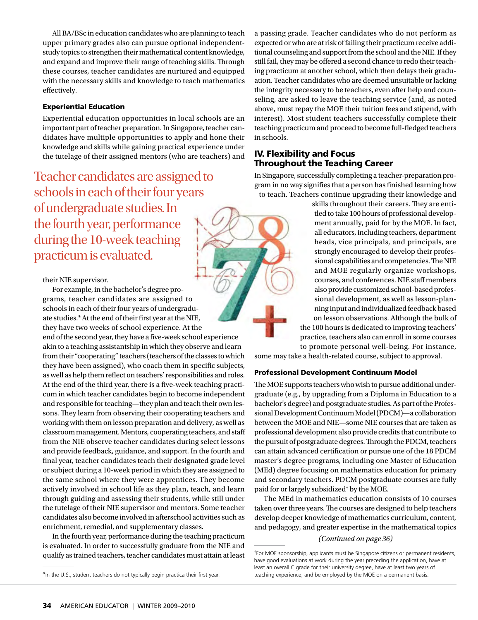All BA/BSc in education candidates who are planning to teach upper primary grades also can pursue optional independentstudy topics to strengthen their mathematical content knowledge, and expand and improve their range of teaching skills. Through these courses, teacher candidates are nurtured and equipped with the necessary skills and knowledge to teach mathematics effectively.

#### Experiential Education

Experiential education opportunities in local schools are an important part of teacher preparation. In Singapore, teacher candidates have multiple opportunities to apply and hone their knowledge and skills while gaining practical experience under the tutelage of their assigned mentors (who are teachers) and

Teacher candidates are assigned to schools in each of their four years of undergraduate studies. In the fourth year, performance during the 10-week teaching practicum is evaluated.

their NIE supervisor.

For example, in the bachelor's degree programs, teacher candidates are assigned to schools in each of their four years of undergraduate studies.\* At the end of their first year at the NIE, they have two weeks of school experience. At the end of the second year, they have a five-week school experience akin to a teaching assistantship in which they observe and learn from their "cooperating" teachers (teachers of the classes to which they have been assigned), who coach them in specific subjects, as well as help them reflect on teachers' responsibilities and roles. At the end of the third year, there is a five-week teaching practicum in which teacher candidates begin to become independent and responsible for teaching—they plan and teach their own lessons. They learn from observing their cooperating teachers and working with them on lesson preparation and delivery, as well as classroom management. Mentors, cooperating teachers, and staff from the NIE observe teacher candidates during select lessons and provide feedback, guidance, and support. In the fourth and final year, teacher candidates teach their designated grade level or subject during a 10-week period in which they are assigned to the same school where they were apprentices. They become actively involved in school life as they plan, teach, and learn through guiding and assessing their students, while still under the tutelage of their NIE supervisor and mentors. Some teacher candidates also become involved in afterschool activities such as enrichment, remedial, and supplementary classes.

In the fourth year, performance during the teaching practicum is evaluated. In order to successfully graduate from the NIE and qualify as trained teachers, teacher candidates must attain at least

a passing grade. Teacher candidates who do not perform as expected or who are at risk of failing their practicum receive additional counseling and support from the school and the NIE. If they still fail, they may be offered a second chance to redo their teaching practicum at another school, which then delays their graduation. Teacher candidates who are deemed unsuitable or lacking the integrity necessary to be teachers, even after help and counseling, are asked to leave the teaching service (and, as noted above, must repay the MOE their tuition fees and stipend, with interest). Most student teachers successfully complete their teaching practicum and proceed to become full-fledged teachers in schools.

### IV. Flexibility and Focus Throughout the Teaching Career

In Singapore, successfully completing a teacher-preparation program in no way signifies that a person has finished learning how to teach. Teachers continue upgrading their knowledge and

> skills throughout their careers. They are entitled to take 100 hours of professional development annually, paid for by the MOE. In fact, all educators, including teachers, department heads, vice principals, and principals, are strongly encouraged to develop their professional capabilities and competencies. The NIE and MOE regularly organize workshops, courses, and conferences. NIE staff members also provide customized school-based professional development, as well as lesson-planning input and individualized feedback based on lesson observations. Although the bulk of the 100 hours is dedicated to improving teachers' practice, teachers also can enroll in some courses to promote personal well-being. For instance,

some may take a health-related course, subject to approval.

#### Professional Development Continuum Model

The MOE supports teachers who wish to pursue additional undergraduate (e.g., by upgrading from a Diploma in Education to a bachelor's degree) and postgraduate studies. As part of the Professional Development Continuum Model (PDCM)—a collaboration between the MOE and NIE—some NIE courses that are taken as professional development also provide credits that contribute to the pursuit of postgraduate degrees. Through the PDCM, teachers can attain advanced certification or pursue one of the 18 PDCM master's degree programs, including one Master of Education (MEd) degree focusing on mathematics education for primary and secondary teachers. PDCM postgraduate courses are fully paid for or largely subsidized† by the MOE.

The MEd in mathematics education consists of 10 courses taken over three years. The courses are designed to help teachers develop deeper knowledge of mathematics curriculum, content, and pedagogy, and greater expertise in the mathematical topics

#### *(Continued on page 36)*

<sup>†</sup> For MOE sponsorship, applicants must be Singapore citizens or permanent residents, have good evaluations at work during the year preceding the application, have at least an overall C grade for their university degree, have at least two years of \*In the U.S., student teachers do not typically begin practica their first year. teaching experience, and be employed by the MOE on a permanent basis.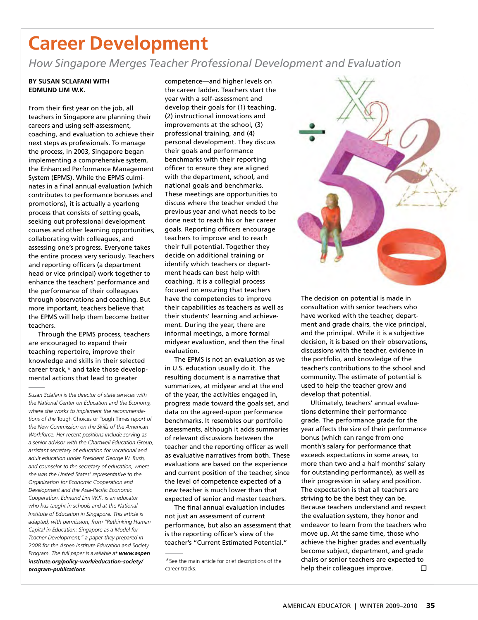# **Career Development**

*How Singapore Merges Teacher Professional Development and Evaluation*

#### **By Susan Sclafani with Edmund Lim W.K.**

From their first year on the job, all teachers in Singapore are planning their careers and using self-assessment, coaching, and evaluation to achieve their next steps as professionals. To manage the process, in 2003, Singapore began implementing a comprehensive system, the Enhanced Performance Management System (EPMS). While the EPMS culminates in a final annual evaluation (which contributes to performance bonuses and promotions), it is actually a yearlong process that consists of setting goals, seeking out professional development courses and other learning opportunities, collaborating with colleagues, and assessing one's progress. Everyone takes the entire process very seriously. Teachers and reporting officers (a department head or vice principal) work together to enhance the teachers' performance and the performance of their colleagues through observations and coaching. But more important, teachers believe that the EPMS will help them become better teachers.

Through the EPMS process, teachers are encouraged to expand their teaching repertoire, improve their knowledge and skills in their selected career track,\* and take those developmental actions that lead to greater

competence—and higher levels on the career ladder. Teachers start the year with a self-assessment and develop their goals for (1) teaching, (2) instructional innovations and improvements at the school, (3) professional training, and (4) personal development. They discuss their goals and performance benchmarks with their reporting officer to ensure they are aligned with the department, school, and national goals and benchmarks. These meetings are opportunities to discuss where the teacher ended the previous year and what needs to be done next to reach his or her career goals. Reporting officers encourage teachers to improve and to reach their full potential. Together they decide on additional training or identify which teachers or department heads can best help with coaching. It is a collegial process focused on ensuring that teachers have the competencies to improve their capabilities as teachers as well as their students' learning and achievement. During the year, there are informal meetings, a more formal midyear evaluation, and then the final evaluation.

The EPMS is not an evaluation as we in U.S. education usually do it. The resulting document is a narrative that summarizes, at midyear and at the end of the year, the activities engaged in, progress made toward the goals set, and data on the agreed-upon performance benchmarks. It resembles our portfolio assessments, although it adds summaries of relevant discussions between the teacher and the reporting officer as well as evaluative narratives from both. These evaluations are based on the experience and current position of the teacher, since the level of competence expected of a new teacher is much lower than that expected of senior and master teachers.

The final annual evaluation includes not just an assessment of current performance, but also an assessment that is the reporting officer's view of the teacher's "Current Estimated Potential."



The decision on potential is made in consultation with senior teachers who have worked with the teacher, department and grade chairs, the vice principal, and the principal. While it is a subjective decision, it is based on their observations, discussions with the teacher, evidence in the portfolio, and knowledge of the teacher's contributions to the school and community. The estimate of potential is used to help the teacher grow and develop that potential.

Ultimately, teachers' annual evaluations determine their performance grade. The performance grade for the year affects the size of their performance bonus (which can range from one month's salary for performance that exceeds expectations in some areas, to more than two and a half months' salary for outstanding performance), as well as their progression in salary and position. The expectation is that all teachers are striving to be the best they can be. Because teachers understand and respect the evaluation system, they honor and endeavor to learn from the teachers who move up. At the same time, those who achieve the higher grades and eventually become subject, department, and grade chairs or senior teachers are expected to help their colleagues improve.  $\Box$ 

*Susan Sclafani is the director of state services with the National Center on Education and the Economy, where she works to implement the recommendations of the* Tough Choices or Tough Times *report of the New Commission on the Skills of the American Workforce. Her recent positions include serving as a senior advisor with the Chartwell Education Group, assistant secretary of education for vocational and adult education under President George W. Bush, and counselor to the secretary of education, where she was the United States' representative to the Organization for Economic Cooperation and Development and the Asia-Pacific Economic Cooperation. Edmund Lim W.K. is an educator who has taught in schools and at the National Institute of Education in Singapore. This article is adapted, with permission, from "Rethinking Human Capital in Education: Singapore as a Model for Teacher Development," a paper they prepared in 2008 for the Aspen Institute Education and Society Program. The full paper is available at www.aspen [institute.org/policy-work/education-society/](www.aspeninstitute.org/policy-work/education-society/program-publications) program-publications.*

<sup>\*</sup>See the main article for brief descriptions of the career tracks.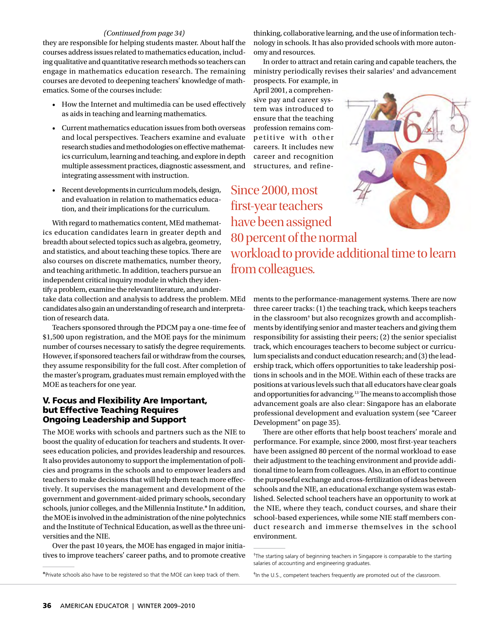#### *(Continued from page 34)*

they are responsible for helping students master. About half the courses address issues related to mathematics education, including qualitative and quantitative research methods so teachers can engage in mathematics education research. The remaining courses are devoted to deepening teachers' knowledge of mathematics. Some of the courses include:

- • How the Internet and multimedia can be used effectively as aids in teaching and learning mathematics.
- • Current mathematics education issues from both overseas and local perspectives. Teachers examine and evaluate research studies and methodologies on effective mathematics curriculum, learning and teaching, and explore in depth multiple assessment practices, diagnostic assessment, and integrating assessment with instruction.
- • Recent developments in curriculum models, design, and evaluation in relation to mathematics education, and their implications for the curriculum.

With regard to mathematics content, MEd mathematics education candidates learn in greater depth and breadth about selected topics such as algebra, geometry, and statistics, and about teaching these topics. There are also courses on discrete mathematics, number theory, and teaching arithmetic. In addition, teachers pursue an independent critical inquiry module in which they identify a problem, examine the relevant literature, and undertake data collection and analysis to address the problem. MEd

candidates also gain an understanding of research and interpretation of research data.

Teachers sponsored through the PDCM pay a one-time fee of \$1,500 upon registration, and the MOE pays for the minimum number of courses necessary to satisfy the degree requirements. However, if sponsored teachers fail or withdraw from the courses, they assume responsibility for the full cost. After completion of the master's program, graduates must remain employed with the MOE as teachers for one year.

## V. Focus and Flexibility Are Important, but Effective Teaching Requires Ongoing Leadership and Support

The MOE works with schools and partners such as the NIE to boost the quality of education for teachers and students. It oversees education policies, and provides leadership and resources. It also provides autonomy to support the implementation of policies and programs in the schools and to empower leaders and teachers to make decisions that will help them teach more effectively. It supervises the management and development of the government and government-aided primary schools, secondary schools, junior colleges, and the Millennia Institute.\* In addition, the MOE is involved in the administration of the nine polytechnics and the Institute of Technical Education, as well as the three universities and the NIE.

Over the past 10 years, the MOE has engaged in major initiatives to improve teachers' career paths, and to promote creative thinking, collaborative learning, and the use of information technology in schools. It has also provided schools with more autonomy and resources.

In order to attract and retain caring and capable teachers, the ministry periodically revises their salaries† and advancement

prospects. For example, in April 2001, a comprehensive pay and career system was introduced to ensure that the teaching profession remains competitive with other careers. It includes new career and recognition structures, and refine-

Since 2000, most first-year teachers have been assigned 80 percent of the normal workload to provide additional time to learn from colleagues.

> ments to the performance-management systems. There are now three career tracks: (1) the teaching track, which keeps teachers in the classroom<sup>\*</sup> but also recognizes growth and accomplishments by identifying senior and master teachers and giving them responsibility for assisting their peers; (2) the senior specialist track, which encourages teachers to become subject or curriculum specialists and conduct education research; and (3) the leadership track, which offers opportunities to take leadership positions in schools and in the MOE. Within each of these tracks are positions at various levels such that all educators have clear goals and opportunities for advancing.13 The means to accomplish those advancement goals are also clear: Singapore has an elaborate professional development and evaluation system (see "Career Development" on page 35).

> There are other efforts that help boost teachers' morale and performance. For example, since 2000, most first-year teachers have been assigned 80 percent of the normal workload to ease their adjustment to the teaching environment and provide additional time to learn from colleagues. Also, in an effort to continue the purposeful exchange and cross-fertilization of ideas between schools and the NIE, an educational exchange system was established. Selected school teachers have an opportunity to work at the NIE, where they teach, conduct courses, and share their school-based experiences, while some NIE staff members conduct research and immerse themselves in the school environment.



<sup>†</sup> The starting salary of beginning teachers in Singapore is comparable to the starting salaries of accounting and engineering graduates.

<sup>\*</sup>Private schools also have to be registered so that the MOE can keep track of them.  $*$ In the U.S., competent teachers frequently are promoted out of the classroom.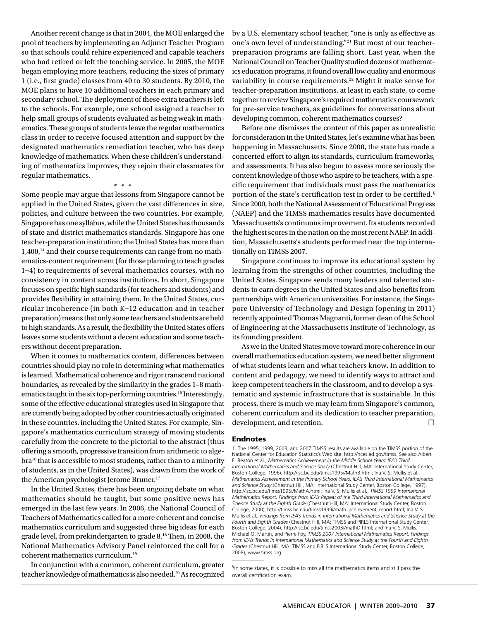Another recent change is that in 2004, the MOE enlarged the pool of teachers by implementing an Adjunct Teacher Program so that schools could rehire experienced and capable teachers who had retired or left the teaching service. In 2005, the MOE began employing more teachers, reducing the sizes of primary 1 (i.e., first grade) classes from 40 to 30 students. By 2010, the MOE plans to have 10 additional teachers in each primary and secondary school. The deployment of these extra teachers is left to the schools. For example, one school assigned a teacher to help small groups of students evaluated as being weak in mathematics. These groups of students leave the regular mathematics class in order to receive focused attention and support by the designated mathematics remediation teacher, who has deep knowledge of mathematics. When these children's understanding of mathematics improves, they rejoin their classmates for regular mathematics.

#### \* \* \*

Some people may argue that lessons from Singapore cannot be applied in the United States, given the vast differences in size, policies, and culture between the two countries. For example, Singapore has one syllabus, while the United States has thousands of state and district mathematics standards. Singapore has one teacher-preparation institution; the United States has more than 1,400,<sup>14</sup> and their course requirements can range from no mathematics-content requirement (for those planning to teach grades 1–4) to requirements of several mathematics courses, with no consistency in content across institutions. In short, Singapore focuses on specific high standards (for teachers and students) and provides flexibility in attaining them. In the United States, curricular incoherence (in both K–12 education and in teacher preparation) means that only some teachers and students are held to high standards. As a result, the flexibility the United States offers leaves some students without a decent education and some teachers without decent preparation.

When it comes to mathematics content, differences between countries should play no role in determining what mathematics is learned. Mathematical coherence and rigor transcend national boundaries, as revealed by the similarity in the grades 1–8 mathematics taught in the six top-performing countries.15 Interestingly, some of the effective educational strategies used in Singapore that are currently being adopted by other countries actually originated in these countries, including the United States. For example, Singapore's mathematics curriculum strategy of moving students carefully from the concrete to the pictorial to the abstract (thus offering a smooth, progressive transition from arithmetic to algebra16 that is accessible to most students, rather than to a minority of students, as in the United States), was drawn from the work of the American psychologist Jerome Bruner.<sup>17</sup>

In the United States, there has been ongoing debate on what mathematics should be taught, but some positive news has emerged in the last few years. In 2006, the National Council of Teachers of Mathematics called for a more coherent and concise mathematics curriculum and suggested three big ideas for each grade level, from prekindergarten to grade 8.18 Then, in 2008, the National Mathematics Advisory Panel reinforced the call for a coherent mathematics curriculum.19

In conjunction with a common, coherent curriculum, greater teacher knowledge of mathematics is also needed.20 As recognized by a U.S. elementary school teacher, "one is only as effective as one's own level of understanding."21 But most of our teacherpreparation programs are falling short. Last year, when the National Council on Teacher Quality studied dozens of mathematics education programs, it found overall low quality and enormous variability in course requirements.<sup>22</sup> Might it make sense for teacher-preparation institutions, at least in each state, to come together to review Singapore's required mathematics coursework for pre-service teachers, as guidelines for conversations about developing common, coherent mathematics courses?

Before one dismisses the content of this paper as unrealistic for consideration in the United States, let's examine what has been happening in Massachusetts. Since 2000, the state has made a concerted effort to align its standards, curriculum frameworks, and assessments. It has also begun to assess more seriously the content knowledge of those who aspire to be teachers, with a specific requirement that individuals must pass the mathematics portion of the state's certification test in order to be certified.§ Since 2000, both the National Assessment of Educational Progress (NAEP) and the TIMSS mathematics results have documented Massachusetts's continuous improvement. Its students recorded the highest scores in the nation on the most recent NAEP. In addition, Massachusetts's students performed near the top internationally on TIMSS 2007.

Singapore continues to improve its educational system by learning from the strengths of other countries, including the United States. Singapore sends many leaders and talented students to earn degrees in the United States and also benefits from partnerships with American universities. For instance, the Singapore University of Technology and Design (opening in 2011) recently appointed Thomas Magnanti, former dean of the School of Engineering at the Massachusetts Institute of Technology, as its founding president.

As we in the United States move toward more coherence in our overall mathematics education system, we need better alignment of what students learn and what teachers know. In addition to content and pedagogy, we need to identify ways to attract and keep competent teachers in the classroom, and to develop a systematic and systemic infrastructure that is sustainable. In this process, there is much we may learn from Singapore's common, coherent curriculum and its dedication to teacher preparation, development, and retention. □

#### Endnotes

1. The 1995, 1999, 2003, and 2007 TIMSS results are available on the TIMSS portion of the National Center for Education Statistics's Web site: http://nces.ed.gov/timss. See also Albert E. Beaton et al., *Mathematics Achievement in the Middle School Years: IEA's Third International Mathematics and Science Study* (Chestnut Hill, MA: International Study Center, Boston College, 1996), http://isc.bc.edu/timss1995i/MathB.html; Ina V. S. Mullis et al., *Mathematics Achievement in the Primary School Years: IEA's Third International Mathematics and Science Study* (Chestnut Hill, MA: International Study Center, Boston College, 1997), http://isc.bc.edu/timss1995i/MathA.html; Ina V. S. Mullis et al., *TIMSS 1999 International Mathematics Report: Findings from IEA's Repeat of the Third International Mathematics and Science Study at the Eighth Grade* (Chestnut Hill, MA: International Study Center, Boston College, 2000), http://timss.bc.edu/timss1999i/math\_achievement\_report.html; Ina V. S. Mullis et al., *Findings from IEA's Trends in International Mathematics and Science Study at the Fourth and Eighth Grades* (Chestnut Hill, MA: TIMSS and PIRLS International Study Center, Boston College, 2004), http://isc.bc.edu/timss2003i/mathD.html; and Ina V. S. Mullis, Michael O. Martin, and Pierre Foy, *TIMSS 2007 International Mathematics Report: Findings from IEA's Trends in International Mathematics and Science Study at the Fourth and Eighth Grades* (Chestnut Hill, MA: TIMSS and PIRLS International Study Center, Boston College, 2008), www.timss.org.

§ In some states, it is possible to miss all the mathematics items and still pass the overall certification exam.